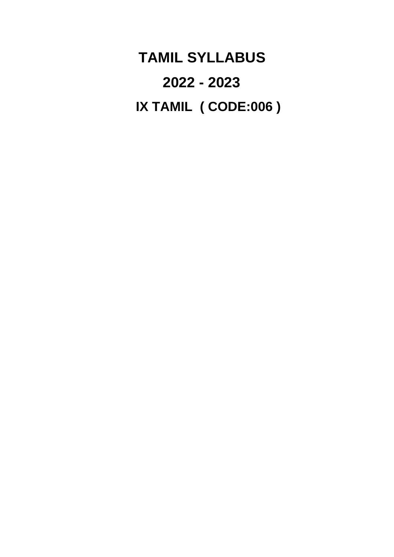**TAMIL SYLLABUS 2022 - 2023 IX TAMIL ( CODE:006 )**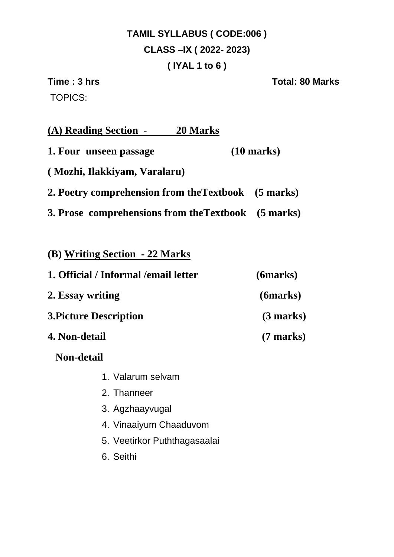# **TAMIL SYLLABUS ( CODE:006 ) CLASS –IX ( 2022- 2023) ( IYAL 1 to 6 )**

TOPICS:

**Time : 3 hrs Total: 80 Marks** 

| (A) Reading Section -<br>20 Marks                   |                      |
|-----------------------------------------------------|----------------------|
| 1. Four unseen passage                              | $(10 \text{ marks})$ |
| (Mozhi, Ilakkiyam, Varalaru)                        |                      |
| 2. Poetry comprehension from the Textbook (5 marks) |                      |
| 3. Prose comprehensions from the Textbook (5 marks) |                      |
|                                                     |                      |
| (B) Writing Section - 22 Marks                      |                      |
| 1. Official / Informal / email letter               | (6marks)             |

- **2. Essay writing (6marks) 3.Picture Description (3 marks)**
- **4. Non-detail (7 marks)** 
	- **Non-detail** 
		- 1. Valarum selvam
		- 2. Thanneer
		- 3. Agzhaayvugal
		- 4. Vinaaiyum Chaaduvom
		- 5. Veetirkor Puththagasaalai
		- 6. Seithi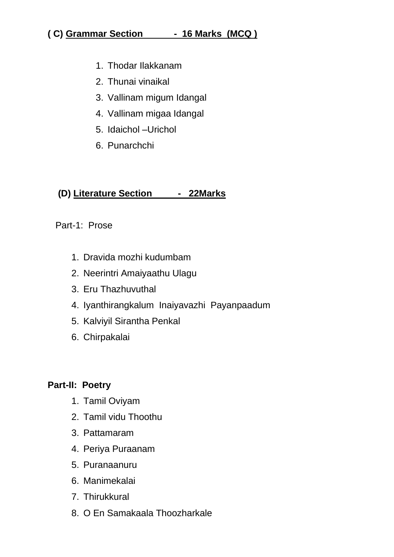#### **( C) Grammar Section - 16 Marks (MCQ )**

- 1. Thodar Ilakkanam
- 2. Thunai vinaikal
- 3. Vallinam migum Idangal
- 4. Vallinam migaa Idangal
- 5. Idaichol –Urichol
- 6. Punarchchi

#### **(D) Literature Section - 22Marks**

#### Part-1: Prose

- 1. Dravida mozhi kudumbam
- 2. Neerintri Amaiyaathu Ulagu
- 3. Eru Thazhuvuthal
- 4. Iyanthirangkalum Inaiyavazhi Payanpaadum
- 5. Kalviyil Sirantha Penkal
- 6. Chirpakalai

#### **Part-II: Poetry**

- 1. Tamil Oviyam
- 2. Tamil vidu Thoothu
- 3. Pattamaram
- 4. Periya Puraanam
- 5. Puranaanuru
- 6. Manimekalai
- 7. Thirukkural
- 8. O En Samakaala Thoozharkale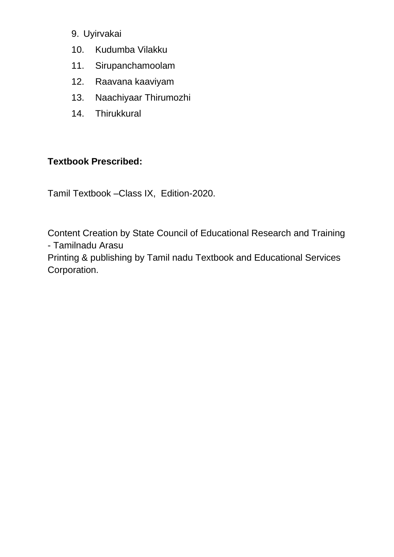- 9. Uyirvakai
- 10. Kudumba Vilakku
- 11. Sirupanchamoolam
- 12. Raavana kaaviyam
- 13. Naachiyaar Thirumozhi
- 14. Thirukkural

#### **Textbook Prescribed:**

Tamil Textbook –Class IX, Edition-2020.

Content Creation by State Council of Educational Research and Training - Tamilnadu Arasu Printing & publishing by Tamil nadu Textbook and Educational Services

Corporation.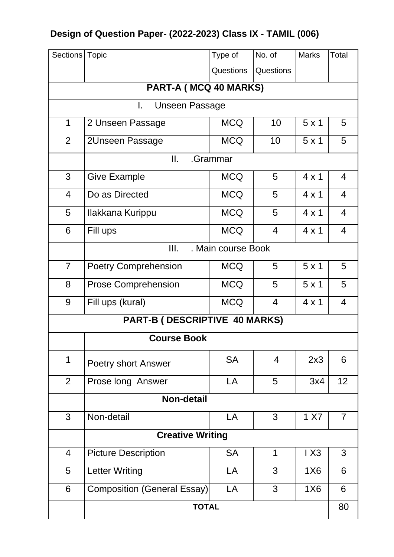# **Design of Question Paper- (2022-2023) Class IX - TAMIL (006)**

| Sections   Topic      |                                    | Type of            | No. of         | <b>Marks</b> | Total          |  |  |
|-----------------------|------------------------------------|--------------------|----------------|--------------|----------------|--|--|
|                       |                                    | <b>Questions</b>   | Questions      |              |                |  |  |
| PART-A (MCQ 40 MARKS) |                                    |                    |                |              |                |  |  |
|                       | I.<br><b>Unseen Passage</b>        |                    |                |              |                |  |  |
| 1                     | 2 Unseen Passage                   | <b>MCQ</b>         | 10             | $5 \times 1$ | 5              |  |  |
| 2                     | 2Unseen Passage                    | <b>MCQ</b>         | 10             | $5 \times 1$ | 5              |  |  |
|                       | II.                                | .Grammar           |                |              |                |  |  |
| 3                     | <b>Give Example</b>                | <b>MCQ</b>         | 5              | $4 \times 1$ | $\overline{4}$ |  |  |
| $\overline{4}$        | Do as Directed                     | <b>MCQ</b>         | 5              | $4 \times 1$ | $\overline{4}$ |  |  |
| 5                     | Ilakkana Kurippu                   | <b>MCQ</b>         | 5              | $4 \times 1$ | 4              |  |  |
| 6                     | Fill ups                           | <b>MCQ</b>         | $\overline{4}$ | $4 \times 1$ | $\overline{4}$ |  |  |
|                       | Ш.                                 | . Main course Book |                |              |                |  |  |
| $\overline{7}$        | <b>Poetry Comprehension</b>        | <b>MCQ</b>         | 5              | $5 \times 1$ | 5              |  |  |
| 8                     | <b>Prose Comprehension</b>         | <b>MCQ</b>         | 5              | 5x1          | 5              |  |  |
| 9                     | Fill ups (kural)                   | <b>MCQ</b>         | $\overline{4}$ | $4 \times 1$ | $\overline{4}$ |  |  |
|                       | PART-B (DESCRIPTIVE 40 MARKS)      |                    |                |              |                |  |  |
|                       | <b>Course Book</b>                 |                    |                |              |                |  |  |
| 1                     | <b>Poetry short Answer</b>         | <b>SA</b>          | 4              | 2x3          | 6              |  |  |
| $\overline{2}$        | Prose long Answer                  | LA                 | 5              | 3x4          | 12             |  |  |
|                       | <b>Non-detail</b>                  |                    |                |              |                |  |  |
| 3                     | Non-detail                         | LA                 | 3              | 1 X7         | $\overline{7}$ |  |  |
|                       | <b>Creative Writing</b>            |                    |                |              |                |  |  |
| $\overline{4}$        | <b>Picture Description</b>         | <b>SA</b>          | 1              | 1X3          | 3              |  |  |
| 5                     | <b>Letter Writing</b>              | LA                 | 3              | 1X6          | 6              |  |  |
| 6                     | <b>Composition (General Essay)</b> | LA                 | 3              | 1X6          | 6              |  |  |
|                       | <b>TOTAL</b>                       |                    |                |              | 80             |  |  |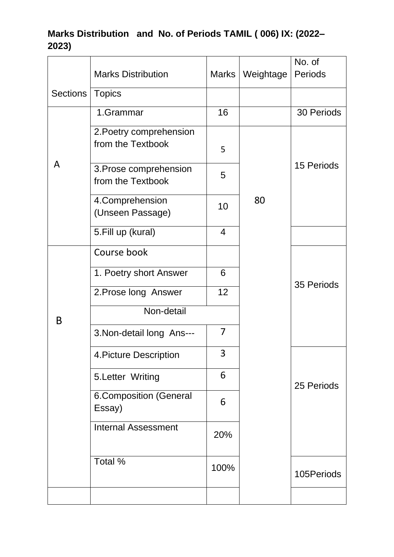### **Marks Distribution and No. of Periods TAMIL ( 006) IX: (2022– 2023)**

|          |                                              |                |           | No. of     |
|----------|----------------------------------------------|----------------|-----------|------------|
|          | <b>Marks Distribution</b>                    | Marks          | Weightage | Periods    |
| Sections | <b>Topics</b>                                |                |           |            |
|          | 1.Grammar                                    | 16             |           | 30 Periods |
|          | 2. Poetry comprehension<br>from the Textbook | 5              |           |            |
| A        | 3. Prose comprehension<br>from the Textbook  | 5              |           | 15 Periods |
|          | 4. Comprehension<br>(Unseen Passage)         | 10             | 80        |            |
|          | 5. Fill up (kural)                           | $\overline{4}$ |           |            |
|          | Course book                                  |                |           |            |
|          | 1. Poetry short Answer                       | 6              |           |            |
|          | 2. Prose long Answer                         | 12             |           | 35 Periods |
| B        | Non-detail                                   |                |           |            |
|          | 3. Non-detail long Ans---                    | 7              |           |            |
|          | 4. Picture Description                       | 3              |           |            |
|          | 5. Letter Writing                            | 6              |           | 25 Periods |
|          | <b>6.Composition (General</b><br>Essay)      | 6              |           |            |
|          | <b>Internal Assessment</b>                   | 20%            |           |            |
|          | Total %                                      | 100%           |           | 105Periods |
|          |                                              |                |           |            |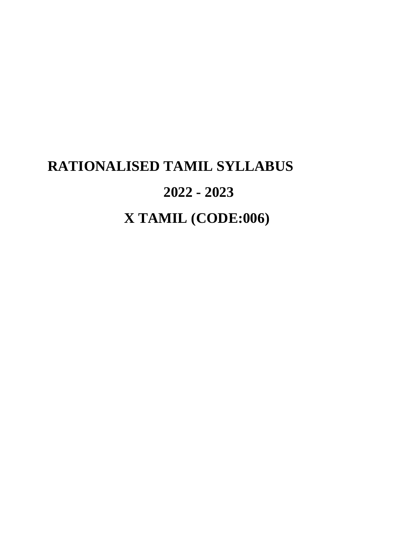# **RATIONALISED TAMIL SYLLABUS 2022 - 2023 X TAMIL (CODE:006)**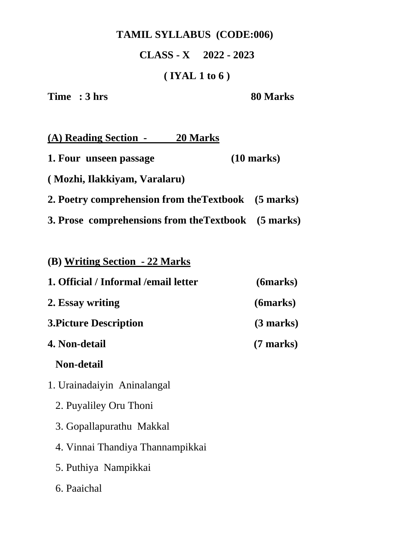## **TAMIL SYLLABUS (CODE:006)**

**CLASS - X 2022 - 2023**

### **( IYAL 1 to 6 )**

**Time** : 3 hrs 80 Marks

| (A) Reading Section -                               | 20 Marks |                      |
|-----------------------------------------------------|----------|----------------------|
| 1. Four unseen passage                              |          | $(10 \text{ marks})$ |
| (Mozhi, Ilakkiyam, Varalaru)                        |          |                      |
| 2. Poetry comprehension from the Textbook (5 marks) |          |                      |
| 3. Prose comprehensions from the Textbook (5 marks) |          |                      |

| (B) Writing Section - 22 Marks        |                     |
|---------------------------------------|---------------------|
| 1. Official / Informal / email letter | (6marks)            |
| 2. Essay writing                      | (6marks)            |
| <b>3. Picture Description</b>         | (3 marks)           |
| 4. Non-detail                         | $(7 \text{ marks})$ |
| <b>Non-detail</b>                     |                     |
| 1. Urainadaiyin Aninalangal           |                     |
| 2. Puyaliley Oru Thoni                |                     |
| 3. Gopallapurathu Makkal              |                     |
| 4. Vinnai Thandiya Thannampikkai      |                     |
| 5. Puthiya Nampikkai                  |                     |
| 6. Paaichal                           |                     |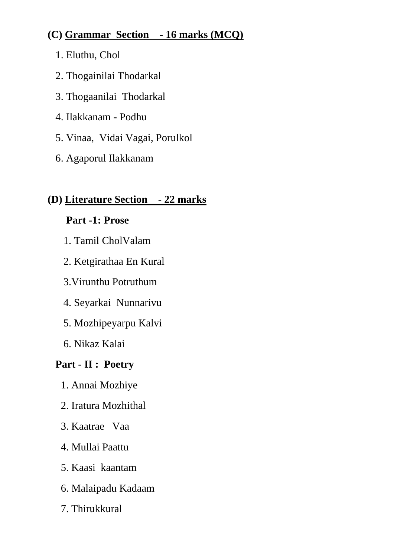### **(C) Grammar Section - 16 marks (MCQ)**

- 1. Eluthu, Chol
- 2. Thogainilai Thodarkal
- 3. Thogaanilai Thodarkal
- 4. Ilakkanam Podhu
- 5. Vinaa, Vidai Vagai, Porulkol
- 6. Agaporul Ilakkanam

## **(D) Literature Section - 22 marks**

## **Part -1: Prose**

- 1. Tamil CholValam
- 2. Ketgirathaa En Kural
- 3.Virunthu Potruthum
- 4. Seyarkai Nunnarivu
- 5. Mozhipeyarpu Kalvi
- 6. Nikaz Kalai

## **Part - II : Poetry**

- 1. Annai Mozhiye
- 2. Iratura Mozhithal
- 3. Kaatrae Vaa
- 4. Mullai Paattu
- 5. Kaasi kaantam
- 6. Malaipadu Kadaam
- 7. Thirukkural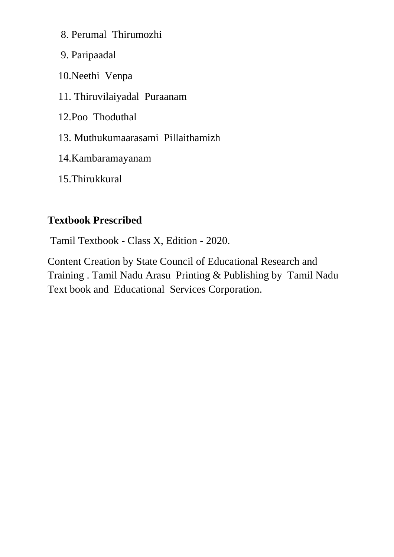8. Perumal Thirumozhi

9. Paripaadal

10.Neethi Venpa

11. Thiruvilaiyadal Puraanam

12.Poo Thoduthal

13. Muthukumaarasami Pillaithamizh

14.Kambaramayanam

15.Thirukkural

#### **Textbook Prescribed**

Tamil Textbook - Class X, Edition - 2020.

Content Creation by State Council of Educational Research and Training . Tamil Nadu Arasu Printing & Publishing by Tamil Nadu Text book and Educational Services Corporation.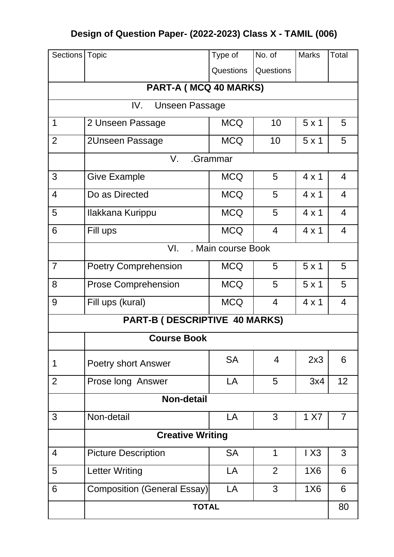# **Design of Question Paper- (2022-2023) Class X - TAMIL (006)**

| Sections   Topic      |                                    | Type of            | No. of         | <b>Marks</b> | Total          |  |  |
|-----------------------|------------------------------------|--------------------|----------------|--------------|----------------|--|--|
|                       |                                    | Questions          | Questions      |              |                |  |  |
| PART-A (MCQ 40 MARKS) |                                    |                    |                |              |                |  |  |
|                       | IV.<br><b>Unseen Passage</b>       |                    |                |              |                |  |  |
| $\mathbf 1$           | 2 Unseen Passage                   | <b>MCQ</b>         | 10             | 5x1          | 5              |  |  |
| $\overline{2}$        | 2Unseen Passage                    | <b>MCQ</b>         | 10             | $5 \times 1$ | 5              |  |  |
|                       | V.                                 | .Grammar           |                |              |                |  |  |
| 3                     | <b>Give Example</b>                | <b>MCQ</b>         | 5              | $4 \times 1$ | $\overline{4}$ |  |  |
| $\overline{4}$        | Do as Directed                     | <b>MCQ</b>         | 5              | $4 \times 1$ | $\overline{4}$ |  |  |
| 5                     | Ilakkana Kurippu                   | <b>MCQ</b>         | 5              | $4 \times 1$ | $\overline{4}$ |  |  |
| 6                     | Fill ups                           | <b>MCQ</b>         | $\overline{4}$ | $4 \times 1$ | $\overline{4}$ |  |  |
|                       | VI.                                | . Main course Book |                |              |                |  |  |
| $\overline{7}$        | <b>Poetry Comprehension</b>        | <b>MCQ</b>         | 5              | 5x1          | 5              |  |  |
| 8                     | <b>Prose Comprehension</b>         | <b>MCQ</b>         | 5              | 5x1          | 5              |  |  |
| 9                     | Fill ups (kural)                   | <b>MCQ</b>         | $\overline{4}$ | $4 \times 1$ | $\overline{4}$ |  |  |
|                       | PART-B (DESCRIPTIVE 40 MARKS)      |                    |                |              |                |  |  |
|                       | <b>Course Book</b>                 |                    |                |              |                |  |  |
| 1                     | Poetry short Answer                | <b>SA</b>          | $\overline{4}$ | 2x3          | 6              |  |  |
| $\overline{2}$        | Prose long Answer                  | LA                 | 5              | 3x4          | 12             |  |  |
|                       | <b>Non-detail</b>                  |                    |                |              |                |  |  |
| 3                     | Non-detail                         | LA                 | 3              | 1 X7         | $\overline{7}$ |  |  |
|                       | <b>Creative Writing</b>            |                    |                |              |                |  |  |
| $\overline{4}$        | <b>Picture Description</b>         | <b>SA</b>          | 1              | IX3          | 3              |  |  |
| 5                     | <b>Letter Writing</b>              | LA                 | $\overline{2}$ | <b>1X6</b>   | 6              |  |  |
| 6                     | <b>Composition (General Essay)</b> | LA                 | 3              | <b>1X6</b>   | 6              |  |  |
| <b>TOTAL</b>          |                                    |                    |                |              | 80             |  |  |